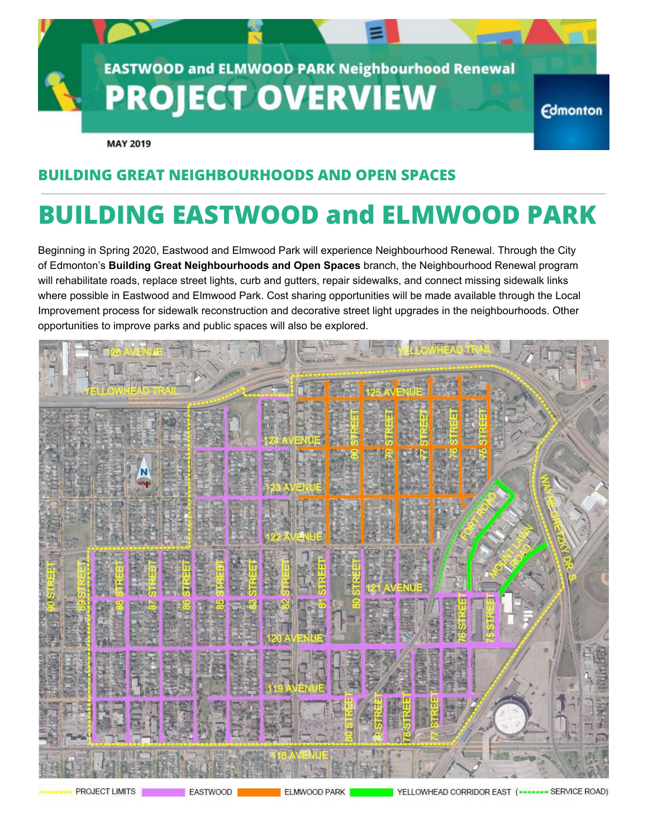

**MAY 2019** 

## **BUILDING GREAT NEIGHBOURHOODS AND OPEN SPACES**

# **BUILDING EASTWOOD and ELMWOOD PARK**

Beginning in Spring 2020, Eastwood and Elmwood Park will experience Neighbourhood Renewal. Through the City of Edmonton's **Building Great Neighbourhoods and Open Spaces** branch, the Neighbourhood Renewal program will rehabilitate roads, replace street lights, curb and gutters, repair sidewalks, and connect missing sidewalk links where possible in Eastwood and Elmwood Park. Cost sharing opportunities will be made available through the Local Improvement process for sidewalk reconstruction and decorative street light upgrades in the neighbourhoods. Other opportunities to improve parks and public spaces will also be explored.

|                              |                                 |                                           | 集                                                                   |               |
|------------------------------|---------------------------------|-------------------------------------------|---------------------------------------------------------------------|---------------|
| <b>Thent</b><br>751 IOW<br>E |                                 |                                           | Ė.                                                                  |               |
|                              |                                 | $\mathbf{E}$<br>킈<br>团<br><b>Latitude</b> | 阖                                                                   |               |
| N<br><b>SHE</b>              |                                 | 西古山<br>鷗<br>左右<br>WΝ<br>128.60            |                                                                     |               |
|                              |                                 | 122<br>a<br>IUE.<br>別<br>國                | 殿                                                                   |               |
| 同性<br>眉                      | 病<br>局<br><b>Salating</b><br>電話 | <b>STREET</b><br>REET<br>H<br>潭           | B<br><b>Masket</b>                                                  |               |
| E<br><b>Read</b>             | 高麗<br>EP-12                     | <b>The Service</b><br>120 A<br>ŋ<br>I     | <b>BULLION UNLIMIT</b><br>EN LA<br><b>ESSER</b><br><b>1000</b><br>愛 |               |
| 五府                           | <b>HE</b><br>25                 | <b>THE AV</b><br>当论                       | <b>MAR</b><br>厲                                                     |               |
| 目れ<br>$\Xi$                  | EN<br>E<br>海河<br>窗              | 1.4第12                                    | 睚<br>健湯<br><b>ALLE</b><br><b>THE STATE</b>                          |               |
|                              |                                 |                                           |                                                                     |               |
| <b>PROJECT LIMITS</b>        | EASTWOOD                        | <b>ELMWOOD PARK</b>                       | YELLOWHEAD CORRIDOR EAST (----                                      | SERVICE ROAD) |